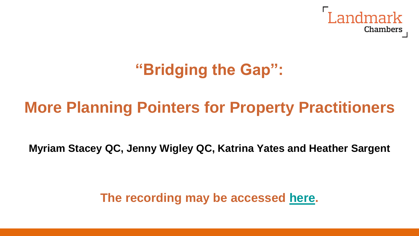

# **"Bridging the Gap":**

## **More Planning Pointers for Property Practitioners**

**Myriam Stacey QC, Jenny Wigley QC, Katrina Yates and Heather Sargent**

**The recording may be accessed [here](https://bit.ly/3AuOH9y).**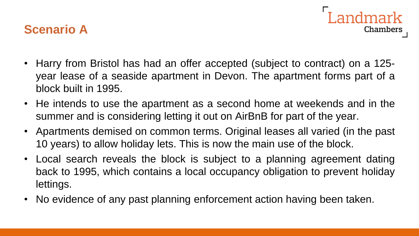#### **Scenario A**

• Harry from Bristol has had an offer accepted (subject to contract) on a 125 year lease of a seaside apartment in Devon. The apartment forms part of a block built in 1995.

andmark

**Chambers** 

- He intends to use the apartment as a second home at weekends and in the summer and is considering letting it out on AirBnB for part of the year.
- Apartments demised on common terms. Original leases all varied (in the past 10 years) to allow holiday lets. This is now the main use of the block.
- Local search reveals the block is subject to a planning agreement dating back to 1995, which contains a local occupancy obligation to prevent holiday lettings.
- No evidence of any past planning enforcement action having been taken.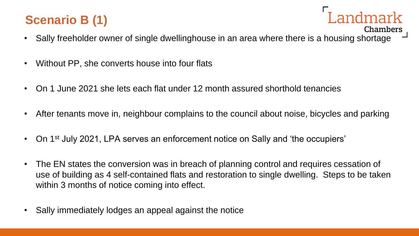### **Scenario B (1)**

• Sally freeholder owner of single dwellinghouse in an area where there is a housing shortage

**Chambers** 

- Without PP, she converts house into four flats
- On 1 June 2021 she lets each flat under 12 month assured shorthold tenancies
- After tenants move in, neighbour complains to the council about noise, bicycles and parking
- On 1<sup>st</sup> July 2021, LPA serves an enforcement notice on Sally and 'the occupiers'
- The EN states the conversion was in breach of planning control and requires cessation of use of building as 4 self-contained flats and restoration to single dwelling. Steps to be taken within 3 months of notice coming into effect.
- Sally immediately lodges an appeal against the notice